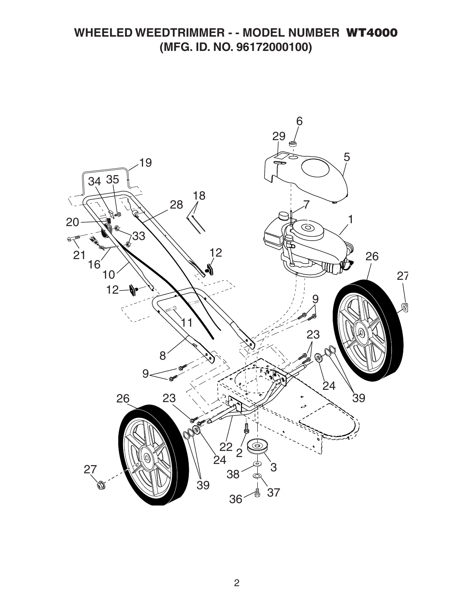## **WHEELED WEEDTRIMMER - - MODEL NUMBER WT4000 (MFG. ID. NO. 96172000100)**

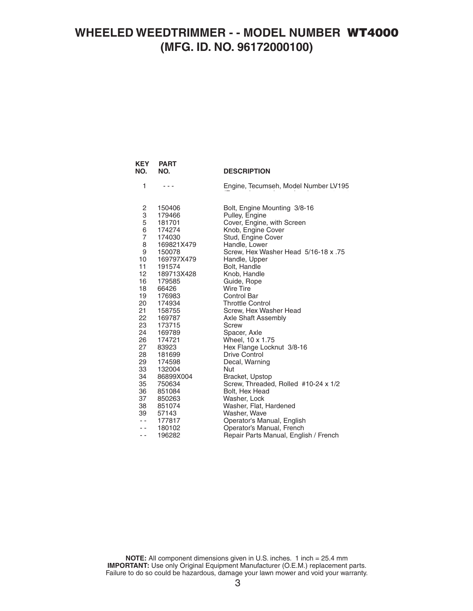## **WHEELED WEEDTRIMMER - - MODEL NUMBER WT4000 (MFG. ID. NO. 96172000100)**

 **KEY PART** 

| NO.            | NO.              | <b>DESCRIPTION</b>                       |
|----------------|------------------|------------------------------------------|
| 1              |                  | Engine, Tecumseh, Model Number LV195     |
|                | 150406           | Bolt, Engine Mounting 3/8-16             |
| 2<br>3<br>5    | 179466           | Pulley, Engine                           |
| $\overline{6}$ | 181701           | Cover, Engine, with Screen               |
| $\overline{7}$ | 174274<br>174030 | Knob, Engine Cover<br>Stud, Engine Cover |
| 8              | 169821X479       | Handle, Lower                            |
| 9              | 150078           | Screw, Hex Washer Head 5/16-18 x .75     |
| 10             | 169797X479       | Handle, Upper                            |
| 11             | 191574           | Bolt, Handle                             |
| 12             | 189713X428       | Knob, Handle                             |
| 16             | 179585           | Guide, Rope                              |
| 18             | 66426            | <b>Wire Tire</b>                         |
| 19             | 176983           | <b>Control Bar</b>                       |
| 20             | 174934           | <b>Throttle Control</b>                  |
| 21             | 158755           | Screw, Hex Washer Head                   |
| 22             | 169787           | Axle Shaft Assembly                      |
| 23<br>24       | 173715<br>169789 | Screw                                    |
| 26             | 174721           | Spacer, Axle<br>Wheel, 10 x 1.75         |
| 27             | 83923            | Hex Flange Locknut 3/8-16                |
| 28             | 181699           | Drive Control                            |
| 29             | 174598           | Decal, Warning                           |
| 33             | 132004           | Nut                                      |
| 34             | 86899X004        | Bracket, Upstop                          |
| 35             | 750634           | Screw, Threaded, Rolled #10-24 x 1/2     |
| 36             | 851084           | Bolt, Hex Head                           |
| 37             | 850263           | Washer, Lock                             |
| 38             | 851074           | Washer, Flat, Hardened                   |
| 39             | 57143            | Washer, Wave                             |
| $-$            | 177817           | Operator's Manual, English               |
| $-$            | 180102           | Operator's Manual, French                |
| - -            | 196282           | Repair Parts Manual, English / French    |

**NOTE:** All component dimensions given in U.S. inches. 1 inch = 25.4 mm **IMPORTANT:** Use only Original Equipment Manufacturer (O.E.M.) replacement parts. Failure to do so could be hazardous, damage your lawn mower and void your warranty.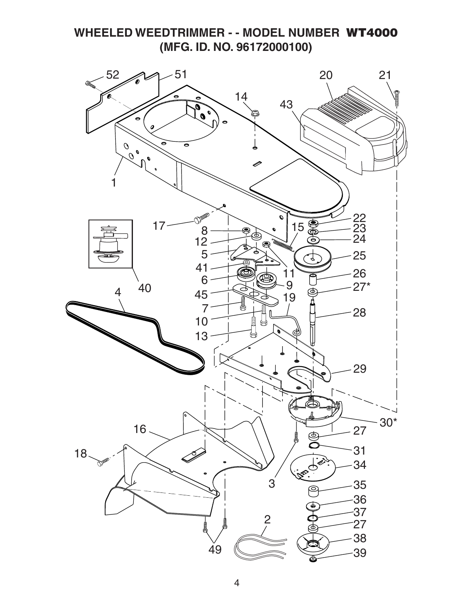